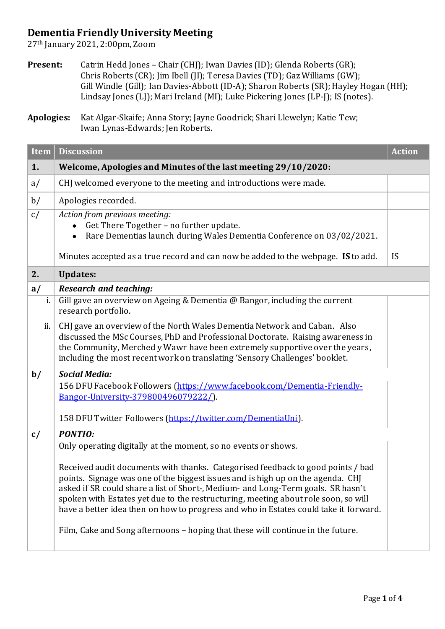## **Dementia Friendly University Meeting**

27th January 2021, 2:00pm, Zoom

Present: Catrin Hedd Jones - Chair (CHJ); Iwan Davies (ID); Glenda Roberts (GR); Chris Roberts (CR); Jim Ibell (JI); Teresa Davies (TD); Gaz Williams (GW); Gill Windle (Gill); Ian Davies-Abbott (ID-A); Sharon Roberts (SR); Hayley Hogan (HH); Lindsay Jones (LJ); Mari Ireland (MI); Luke Pickering Jones (LP-J); IS (notes).

**Apologies:** Kat Algar-Skaife; Anna Story; Jayne Goodrick; Shari Llewelyn; Katie Tew; Iwan Lynas-Edwards; Jen Roberts.

| Item | <b>Discussion</b>                                                                                                                                                                                                                                                                                                                                                                                                                                                                                                                                                                         | <b>Action</b> |
|------|-------------------------------------------------------------------------------------------------------------------------------------------------------------------------------------------------------------------------------------------------------------------------------------------------------------------------------------------------------------------------------------------------------------------------------------------------------------------------------------------------------------------------------------------------------------------------------------------|---------------|
| 1.   | Welcome, Apologies and Minutes of the last meeting 29/10/2020:                                                                                                                                                                                                                                                                                                                                                                                                                                                                                                                            |               |
| a/   | CHJ welcomed everyone to the meeting and introductions were made.                                                                                                                                                                                                                                                                                                                                                                                                                                                                                                                         |               |
| b/   | Apologies recorded.                                                                                                                                                                                                                                                                                                                                                                                                                                                                                                                                                                       |               |
| c/   | Action from previous meeting:<br>Get There Together - no further update.<br>Rare Dementias launch during Wales Dementia Conference on 03/02/2021.                                                                                                                                                                                                                                                                                                                                                                                                                                         |               |
|      | Minutes accepted as a true record and can now be added to the webpage. IS to add.                                                                                                                                                                                                                                                                                                                                                                                                                                                                                                         | <b>IS</b>     |
| 2.   | <b>Updates:</b>                                                                                                                                                                                                                                                                                                                                                                                                                                                                                                                                                                           |               |
| a/   | <b>Research and teaching:</b>                                                                                                                                                                                                                                                                                                                                                                                                                                                                                                                                                             |               |
| i.   | Gill gave an overview on Ageing & Dementia @ Bangor, including the current<br>research portfolio.                                                                                                                                                                                                                                                                                                                                                                                                                                                                                         |               |
| ii.  | CHJ gave an overview of the North Wales Dementia Network and Caban. Also<br>discussed the MSc Courses, PhD and Professional Doctorate. Raising awareness in<br>the Community, Merched y Wawr have been extremely supportive over the years,<br>including the most recent work on translating 'Sensory Challenges' booklet.                                                                                                                                                                                                                                                                |               |
| b/   | <b>Social Media:</b>                                                                                                                                                                                                                                                                                                                                                                                                                                                                                                                                                                      |               |
|      | 156 DFU Facebook Followers (https://www.facebook.com/Dementia-Friendly-<br>Bangor-University-379800496079222/).<br>158 DFU Twitter Followers (https://twitter.com/DementiaUni).                                                                                                                                                                                                                                                                                                                                                                                                           |               |
| c/   | <b>PONTIO:</b>                                                                                                                                                                                                                                                                                                                                                                                                                                                                                                                                                                            |               |
|      | Only operating digitally at the moment, so no events or shows.<br>Received audit documents with thanks. Categorised feedback to good points / bad<br>points. Signage was one of the biggest issues and is high up on the agenda. CHJ<br>asked if SR could share a list of Short-, Medium- and Long-Term goals. SR hasn't<br>spoken with Estates yet due to the restructuring, meeting about role soon, so will<br>have a better idea then on how to progress and who in Estates could take it forward.<br>Film, Cake and Song afternoons - hoping that these will continue in the future. |               |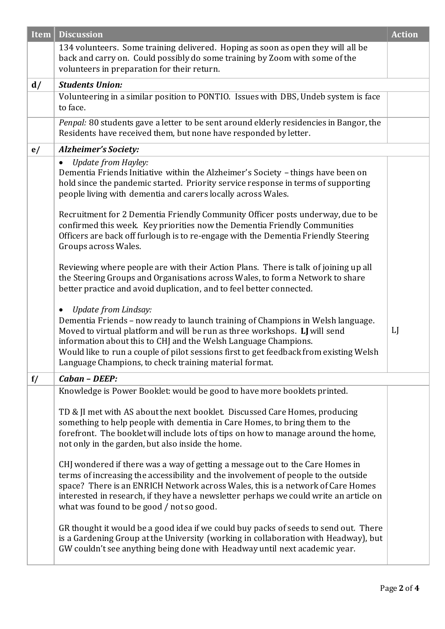| Item | <b>Discussion</b>                                                                                                                                                                                                                                                                                                                                                                                            | <b>Action</b> |
|------|--------------------------------------------------------------------------------------------------------------------------------------------------------------------------------------------------------------------------------------------------------------------------------------------------------------------------------------------------------------------------------------------------------------|---------------|
|      | 134 volunteers. Some training delivered. Hoping as soon as open they will all be<br>back and carry on. Could possibly do some training by Zoom with some of the<br>volunteers in preparation for their return.                                                                                                                                                                                               |               |
| d/   | <b>Students Union:</b>                                                                                                                                                                                                                                                                                                                                                                                       |               |
|      | Volunteering in a similar position to PONTIO. Issues with DBS, Undeb system is face<br>to face.                                                                                                                                                                                                                                                                                                              |               |
|      | Penpal: 80 students gave a letter to be sent around elderly residencies in Bangor, the<br>Residents have received them, but none have responded by letter.                                                                                                                                                                                                                                                   |               |
| e/   | <b>Alzheimer's Society:</b>                                                                                                                                                                                                                                                                                                                                                                                  |               |
|      | <b>Update from Hayley:</b><br>$\bullet$<br>Dementia Friends Initiative within the Alzheimer's Society - things have been on<br>hold since the pandemic started. Priority service response in terms of supporting<br>people living with dementia and carers locally across Wales.<br>Recruitment for 2 Dementia Friendly Community Officer posts underway, due to be                                          |               |
|      | confirmed this week. Key priorities now the Dementia Friendly Communities<br>Officers are back off furlough is to re-engage with the Dementia Friendly Steering<br>Groups across Wales.                                                                                                                                                                                                                      |               |
|      | Reviewing where people are with their Action Plans. There is talk of joining up all<br>the Steering Groups and Organisations across Wales, to form a Network to share<br>better practice and avoid duplication, and to feel better connected.                                                                                                                                                                |               |
|      | Update from Lindsay:<br>Dementia Friends - now ready to launch training of Champions in Welsh language.<br>Moved to virtual platform and will be run as three workshops. LJ will send<br>information about this to CHJ and the Welsh Language Champions.<br>Would like to run a couple of pilot sessions first to get feedback from existing Welsh<br>Language Champions, to check training material format. | LJ            |
| f/   | Caban - DEEP:                                                                                                                                                                                                                                                                                                                                                                                                |               |
|      | Knowledge is Power Booklet: would be good to have more booklets printed.                                                                                                                                                                                                                                                                                                                                     |               |
|      | TD & JI met with AS about the next booklet. Discussed Care Homes, producing<br>something to help people with dementia in Care Homes, to bring them to the<br>forefront. The booklet will include lots of tips on how to manage around the home,<br>not only in the garden, but also inside the home.                                                                                                         |               |
|      | CHJ wondered if there was a way of getting a message out to the Care Homes in<br>terms of increasing the accessibility and the involvement of people to the outside<br>space? There is an ENRICH Network across Wales, this is a network of Care Homes<br>interested in research, if they have a newsletter perhaps we could write an article on<br>what was found to be good / not so good.                 |               |
|      | GR thought it would be a good idea if we could buy packs of seeds to send out. There<br>is a Gardening Group at the University (working in collaboration with Headway), but<br>GW couldn't see anything being done with Headway until next academic year.                                                                                                                                                    |               |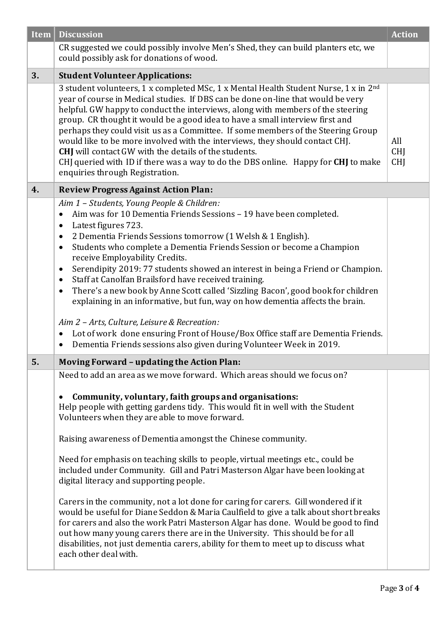| <b>Item</b> | <b>Discussion</b>                                                                                                                                                                                                                                                                                                                                                                                                                                                                                                                                                                                                                                                                                                                                                                                                                                                                                                                                                                                                        | <b>Action</b>                   |
|-------------|--------------------------------------------------------------------------------------------------------------------------------------------------------------------------------------------------------------------------------------------------------------------------------------------------------------------------------------------------------------------------------------------------------------------------------------------------------------------------------------------------------------------------------------------------------------------------------------------------------------------------------------------------------------------------------------------------------------------------------------------------------------------------------------------------------------------------------------------------------------------------------------------------------------------------------------------------------------------------------------------------------------------------|---------------------------------|
|             | CR suggested we could possibly involve Men's Shed, they can build planters etc, we<br>could possibly ask for donations of wood.                                                                                                                                                                                                                                                                                                                                                                                                                                                                                                                                                                                                                                                                                                                                                                                                                                                                                          |                                 |
| 3.          | <b>Student Volunteer Applications:</b>                                                                                                                                                                                                                                                                                                                                                                                                                                                                                                                                                                                                                                                                                                                                                                                                                                                                                                                                                                                   |                                 |
|             | 3 student volunteers, 1 x completed MSc, 1 x Mental Health Student Nurse, 1 x in 2 <sup>nd</sup><br>year of course in Medical studies. If DBS can be done on-line that would be very<br>helpful. GW happy to conduct the interviews, along with members of the steering<br>group. CR thought it would be a good idea to have a small interview first and<br>perhaps they could visit us as a Committee. If some members of the Steering Group<br>would like to be more involved with the interviews, they should contact CHJ.<br><b>CHJ</b> will contact GW with the details of the students.<br>CHJ queried with ID if there was a way to do the DBS online. Happy for CHJ to make<br>enquiries through Registration.                                                                                                                                                                                                                                                                                                   | All<br><b>CHJ</b><br><b>CHI</b> |
| 4.          | <b>Review Progress Against Action Plan:</b>                                                                                                                                                                                                                                                                                                                                                                                                                                                                                                                                                                                                                                                                                                                                                                                                                                                                                                                                                                              |                                 |
|             | Aim 1 - Students, Young People & Children:<br>Aim was for 10 Dementia Friends Sessions - 19 have been completed.<br>$\bullet$<br>Latest figures 723.<br>$\bullet$<br>2 Dementia Friends Sessions tomorrow (1 Welsh & 1 English).<br>$\bullet$<br>Students who complete a Dementia Friends Session or become a Champion<br>$\bullet$<br>receive Employability Credits.<br>Serendipity 2019: 77 students showed an interest in being a Friend or Champion.<br>$\bullet$<br>Staff at Canolfan Brailsford have received training.<br>$\bullet$<br>There's a new book by Anne Scott called 'Sizzling Bacon', good book for children<br>$\bullet$<br>explaining in an informative, but fun, way on how dementia affects the brain.<br>Aim 2 - Arts, Culture, Leisure & Recreation:<br>Lot of work done ensuring Front of House/Box Office staff are Dementia Friends.<br>$\bullet$<br>Dementia Friends sessions also given during Volunteer Week in 2019.<br>$\bullet$                                                         |                                 |
| 5.          | <b>Moving Forward - updating the Action Plan:</b>                                                                                                                                                                                                                                                                                                                                                                                                                                                                                                                                                                                                                                                                                                                                                                                                                                                                                                                                                                        |                                 |
|             | Need to add an area as we move forward. Which areas should we focus on?<br>Community, voluntary, faith groups and organisations:<br>Help people with getting gardens tidy. This would fit in well with the Student<br>Volunteers when they are able to move forward.<br>Raising awareness of Dementia amongst the Chinese community.<br>Need for emphasis on teaching skills to people, virtual meetings etc., could be<br>included under Community. Gill and Patri Masterson Algar have been looking at<br>digital literacy and supporting people.<br>Carers in the community, not a lot done for caring for carers. Gill wondered if it<br>would be useful for Diane Seddon & Maria Caulfield to give a talk about short breaks<br>for carers and also the work Patri Masterson Algar has done. Would be good to find<br>out how many young carers there are in the University. This should be for all<br>disabilities, not just dementia carers, ability for them to meet up to discuss what<br>each other deal with. |                                 |